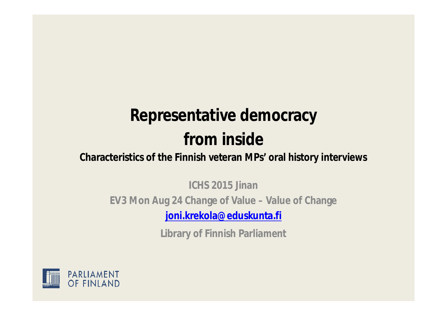#### **Representative democracy from inside**

#### **Characteristics of the Finnish veteran MPs' oral history interviews**

**ICHS 2015 Jinan EV3 Mon Aug 24 Change of Value – Value of Change joni.krekola@eduskunta.fi**

**Library of Finnish Parliament**

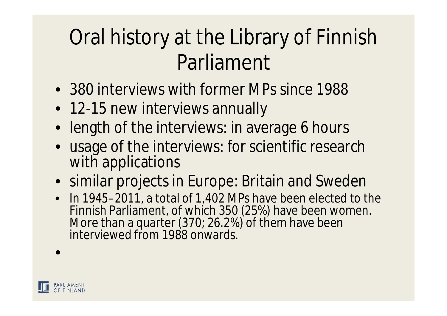## Oral history at the Library of Finnish Parliament

- 380 interviews with former MPs since 1988
- 12-15 new interviews annually
- length of the interviews: in average 6 hours
- usage of the interviews: for scientific research with applications
- similar projects in Europe: Britain and Sweden
- In 1945–2011, a total of 1,402 MPs have been elected to the Finnish Parliament, of which 350 (25%) have been women. More than a quarter (370; 26.2%) of them have been interviewed from 1988 onwards.

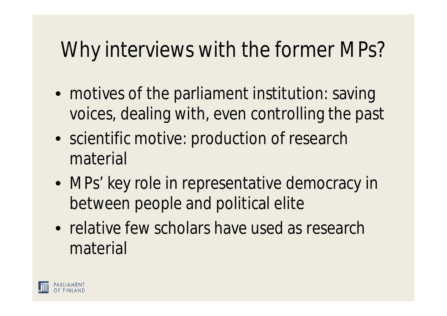### Why interviews with the former MPs?

- motives of the parliament institution: saving voices, dealing with, even controlling the past
- scientific motive: production of research material
- MPs' key role in representative democracy in between people and political elite
- relative few scholars have used as research material

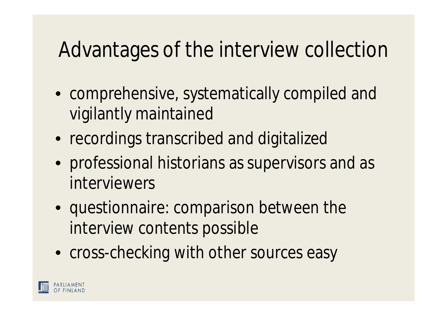#### Advantages of the interview collection

- comprehensive, systematically compiled and vigilantly maintained
- recordings transcribed and digitalized
- professional historians as supervisors and as interviewers
- questionnaire: comparison between the interview contents possible
- cross-checking with other sources easy

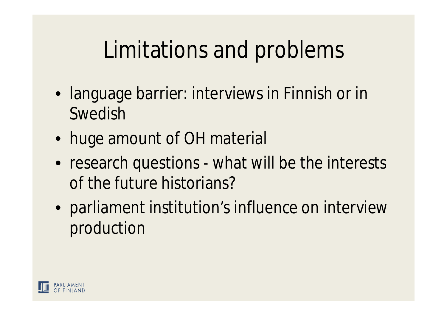## Limitations and problems

- language barrier: interviews in Finnish or in Swedish
- huge amount of OH material
- research questions what will be the interests of the future historians?
- parliament institution's influence on interview production

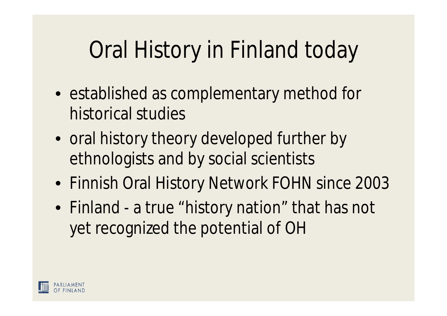# Oral History in Finland today

- established as complementary method for historical studies
- oral history theory developed further by ethnologists and by social scientists
- Finnish Oral History Network FOHN since 2003
- Finland a true "history nation" that has not yet recognized the potential of OH